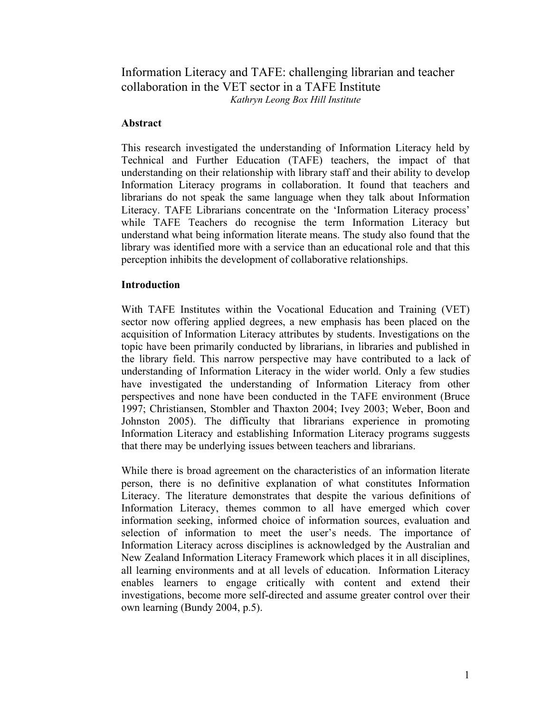# Information Literacy and TAFE: challenging librarian and teacher collaboration in the VET sector in a TAFE Institute *Kathryn Leong Box Hill Institute*

## **Abstract**

This research investigated the understanding of Information Literacy held by Technical and Further Education (TAFE) teachers, the impact of that understanding on their relationship with library staff and their ability to develop Information Literacy programs in collaboration. It found that teachers and librarians do not speak the same language when they talk about Information Literacy. TAFE Librarians concentrate on the 'Information Literacy process' while TAFE Teachers do recognise the term Information Literacy but understand what being information literate means. The study also found that the library was identified more with a service than an educational role and that this perception inhibits the development of collaborative relationships.

## **Introduction**

With TAFE Institutes within the Vocational Education and Training (VET) sector now offering applied degrees, a new emphasis has been placed on the acquisition of Information Literacy attributes by students. Investigations on the topic have been primarily conducted by librarians, in libraries and published in the library field. This narrow perspective may have contributed to a lack of understanding of Information Literacy in the wider world. Only a few studies have investigated the understanding of Information Literacy from other perspectives and none have been conducted in the TAFE environment (Bruce 1997; Christiansen, Stombler and Thaxton 2004; Ivey 2003; Weber, Boon and Johnston 2005). The difficulty that librarians experience in promoting Information Literacy and establishing Information Literacy programs suggests that there may be underlying issues between teachers and librarians.

While there is broad agreement on the characteristics of an information literate person, there is no definitive explanation of what constitutes Information Literacy. The literature demonstrates that despite the various definitions of Information Literacy, themes common to all have emerged which cover information seeking, informed choice of information sources, evaluation and selection of information to meet the user's needs. The importance of Information Literacy across disciplines is acknowledged by the Australian and New Zealand Information Literacy Framework which places it in all disciplines, all learning environments and at all levels of education. Information Literacy enables learners to engage critically with content and extend their investigations, become more self-directed and assume greater control over their own learning (Bundy 2004, p.5).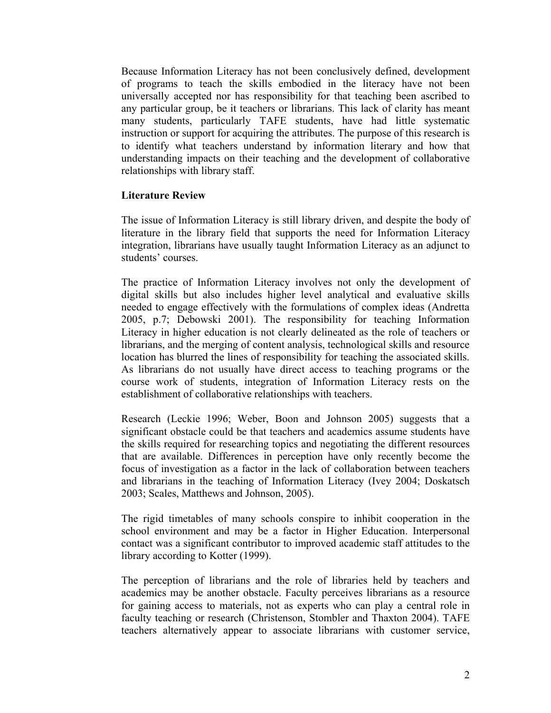Because Information Literacy has not been conclusively defined, development of programs to teach the skills embodied in the literacy have not been universally accepted nor has responsibility for that teaching been ascribed to any particular group, be it teachers or librarians. This lack of clarity has meant many students, particularly TAFE students, have had little systematic instruction or support for acquiring the attributes. The purpose of this research is to identify what teachers understand by information literary and how that understanding impacts on their teaching and the development of collaborative relationships with library staff.

## **Literature Review**

The issue of Information Literacy is still library driven, and despite the body of literature in the library field that supports the need for Information Literacy integration, librarians have usually taught Information Literacy as an adjunct to students' courses.

The practice of Information Literacy involves not only the development of digital skills but also includes higher level analytical and evaluative skills needed to engage effectively with the formulations of complex ideas (Andretta 2005, p.7; Debowski 2001). The responsibility for teaching Information Literacy in higher education is not clearly delineated as the role of teachers or librarians, and the merging of content analysis, technological skills and resource location has blurred the lines of responsibility for teaching the associated skills. As librarians do not usually have direct access to teaching programs or the course work of students, integration of Information Literacy rests on the establishment of collaborative relationships with teachers.

Research (Leckie 1996; Weber, Boon and Johnson 2005) suggests that a significant obstacle could be that teachers and academics assume students have the skills required for researching topics and negotiating the different resources that are available. Differences in perception have only recently become the focus of investigation as a factor in the lack of collaboration between teachers and librarians in the teaching of Information Literacy (Ivey 2004; Doskatsch 2003; Scales, Matthews and Johnson, 2005).

The rigid timetables of many schools conspire to inhibit cooperation in the school environment and may be a factor in Higher Education. Interpersonal contact was a significant contributor to improved academic staff attitudes to the library according to Kotter (1999).

The perception of librarians and the role of libraries held by teachers and academics may be another obstacle. Faculty perceives librarians as a resource for gaining access to materials, not as experts who can play a central role in faculty teaching or research (Christenson, Stombler and Thaxton 2004). TAFE teachers alternatively appear to associate librarians with customer service,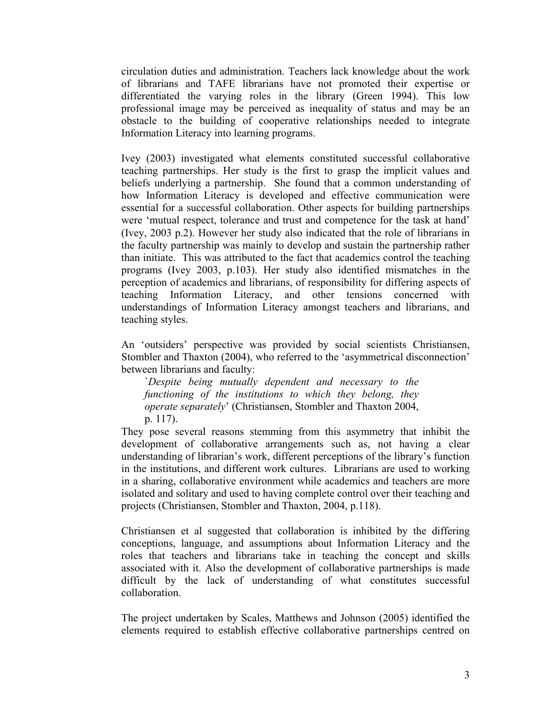circulation duties and administration. Teachers lack knowledge about the work of librarians and TAFE librarians have not promoted their expertise or differentiated the varying roles in the library (Green 1994). This low professional image may be perceived as inequality of status and may be an obstacle to the building of cooperative relationships needed to integrate Information Literacy into learning programs.

Ivey (2003) investigated what elements constituted successful collaborative teaching partnerships. Her study is the first to grasp the implicit values and beliefs underlying a partnership. She found that a common understanding of how Information Literacy is developed and effective communication were essential for a successful collaboration. Other aspects for building partnerships were 'mutual respect, tolerance and trust and competence for the task at hand' (Ivey, 2003 p.2). However her study also indicated that the role of librarians in the faculty partnership was mainly to develop and sustain the partnership rather than initiate. This was attributed to the fact that academics control the teaching programs (Ivey 2003, p.103). Her study also identified mismatches in the perception of academics and librarians, of responsibility for differing aspects of teaching Information Literacy, and other tensions concerned with understandings of Information Literacy amongst teachers and librarians, and teaching styles.

An 'outsiders' perspective was provided by social scientists Christiansen, Stombler and Thaxton (2004), who referred to the 'asymmetrical disconnection' between librarians and faculty:

`*Despite being mutually dependent and necessary to the functioning of the institutions to which they belong, they operate separately*' (Christiansen, Stombler and Thaxton 2004, p. 117).

They pose several reasons stemming from this asymmetry that inhibit the development of collaborative arrangements such as, not having a clear understanding of librarian's work, different perceptions of the library's function in the institutions, and different work cultures. Librarians are used to working in a sharing, collaborative environment while academics and teachers are more isolated and solitary and used to having complete control over their teaching and projects (Christiansen, Stombler and Thaxton, 2004, p.118).

Christiansen et al suggested that collaboration is inhibited by the differing conceptions, language, and assumptions about Information Literacy and the roles that teachers and librarians take in teaching the concept and skills associated with it. Also the development of collaborative partnerships is made difficult by the lack of understanding of what constitutes successful collaboration.

The project undertaken by Scales, Matthews and Johnson (2005) identified the elements required to establish effective collaborative partnerships centred on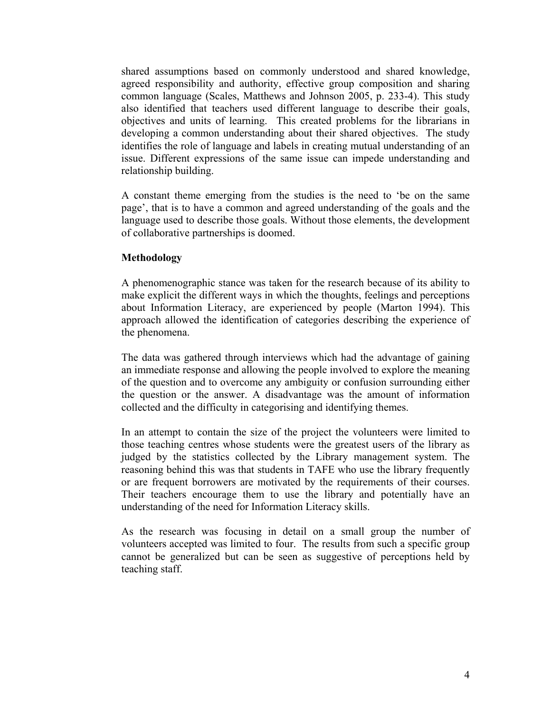shared assumptions based on commonly understood and shared knowledge, agreed responsibility and authority, effective group composition and sharing common language (Scales, Matthews and Johnson 2005, p. 233-4). This study also identified that teachers used different language to describe their goals, objectives and units of learning. This created problems for the librarians in developing a common understanding about their shared objectives. The study identifies the role of language and labels in creating mutual understanding of an issue. Different expressions of the same issue can impede understanding and relationship building.

A constant theme emerging from the studies is the need to 'be on the same page', that is to have a common and agreed understanding of the goals and the language used to describe those goals. Without those elements, the development of collaborative partnerships is doomed.

## **Methodology**

A phenomenographic stance was taken for the research because of its ability to make explicit the different ways in which the thoughts, feelings and perceptions about Information Literacy, are experienced by people (Marton 1994). This approach allowed the identification of categories describing the experience of the phenomena.

The data was gathered through interviews which had the advantage of gaining an immediate response and allowing the people involved to explore the meaning of the question and to overcome any ambiguity or confusion surrounding either the question or the answer. A disadvantage was the amount of information collected and the difficulty in categorising and identifying themes.

In an attempt to contain the size of the project the volunteers were limited to those teaching centres whose students were the greatest users of the library as judged by the statistics collected by the Library management system. The reasoning behind this was that students in TAFE who use the library frequently or are frequent borrowers are motivated by the requirements of their courses. Their teachers encourage them to use the library and potentially have an understanding of the need for Information Literacy skills.

As the research was focusing in detail on a small group the number of volunteers accepted was limited to four. The results from such a specific group cannot be generalized but can be seen as suggestive of perceptions held by teaching staff.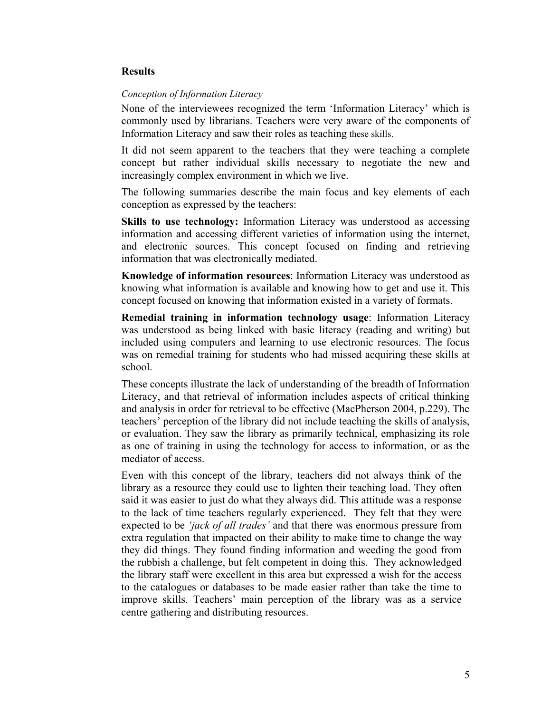## **Results**

## *Conception of Information Literacy*

None of the interviewees recognized the term 'Information Literacy' which is commonly used by librarians. Teachers were very aware of the components of Information Literacy and saw their roles as teaching these skills.

It did not seem apparent to the teachers that they were teaching a complete concept but rather individual skills necessary to negotiate the new and increasingly complex environment in which we live.

The following summaries describe the main focus and key elements of each conception as expressed by the teachers:

**Skills to use technology:** Information Literacy was understood as accessing information and accessing different varieties of information using the internet, and electronic sources. This concept focused on finding and retrieving information that was electronically mediated.

**Knowledge of information resources**: Information Literacy was understood as knowing what information is available and knowing how to get and use it. This concept focused on knowing that information existed in a variety of formats.

**Remedial training in information technology usage**: Information Literacy was understood as being linked with basic literacy (reading and writing) but included using computers and learning to use electronic resources. The focus was on remedial training for students who had missed acquiring these skills at school.

These concepts illustrate the lack of understanding of the breadth of Information Literacy, and that retrieval of information includes aspects of critical thinking and analysis in order for retrieval to be effective (MacPherson 2004, p.229). The teachers' perception of the library did not include teaching the skills of analysis, or evaluation. They saw the library as primarily technical, emphasizing its role as one of training in using the technology for access to information, or as the mediator of access.

Even with this concept of the library, teachers did not always think of the library as a resource they could use to lighten their teaching load. They often said it was easier to just do what they always did. This attitude was a response to the lack of time teachers regularly experienced. They felt that they were expected to be *'jack of all trades'* and that there was enormous pressure from extra regulation that impacted on their ability to make time to change the way they did things. They found finding information and weeding the good from the rubbish a challenge, but felt competent in doing this. They acknowledged the library staff were excellent in this area but expressed a wish for the access to the catalogues or databases to be made easier rather than take the time to improve skills. Teachers' main perception of the library was as a service centre gathering and distributing resources.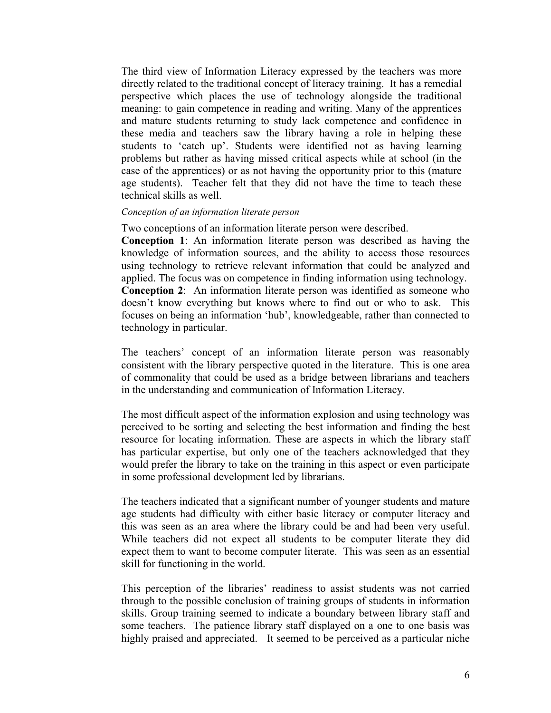The third view of Information Literacy expressed by the teachers was more directly related to the traditional concept of literacy training. It has a remedial perspective which places the use of technology alongside the traditional meaning: to gain competence in reading and writing. Many of the apprentices and mature students returning to study lack competence and confidence in these media and teachers saw the library having a role in helping these students to 'catch up'. Students were identified not as having learning problems but rather as having missed critical aspects while at school (in the case of the apprentices) or as not having the opportunity prior to this (mature age students). Teacher felt that they did not have the time to teach these technical skills as well.

#### *Conception of an information literate person*

Two conceptions of an information literate person were described.

**Conception 1**: An information literate person was described as having the knowledge of information sources, and the ability to access those resources using technology to retrieve relevant information that could be analyzed and applied. The focus was on competence in finding information using technology. **Conception 2**: An information literate person was identified as someone who doesn't know everything but knows where to find out or who to ask. This focuses on being an information 'hub', knowledgeable, rather than connected to technology in particular.

The teachers' concept of an information literate person was reasonably consistent with the library perspective quoted in the literature. This is one area of commonality that could be used as a bridge between librarians and teachers in the understanding and communication of Information Literacy.

The most difficult aspect of the information explosion and using technology was perceived to be sorting and selecting the best information and finding the best resource for locating information. These are aspects in which the library staff has particular expertise, but only one of the teachers acknowledged that they would prefer the library to take on the training in this aspect or even participate in some professional development led by librarians.

The teachers indicated that a significant number of younger students and mature age students had difficulty with either basic literacy or computer literacy and this was seen as an area where the library could be and had been very useful. While teachers did not expect all students to be computer literate they did expect them to want to become computer literate. This was seen as an essential skill for functioning in the world.

This perception of the libraries' readiness to assist students was not carried through to the possible conclusion of training groups of students in information skills. Group training seemed to indicate a boundary between library staff and some teachers. The patience library staff displayed on a one to one basis was highly praised and appreciated. It seemed to be perceived as a particular niche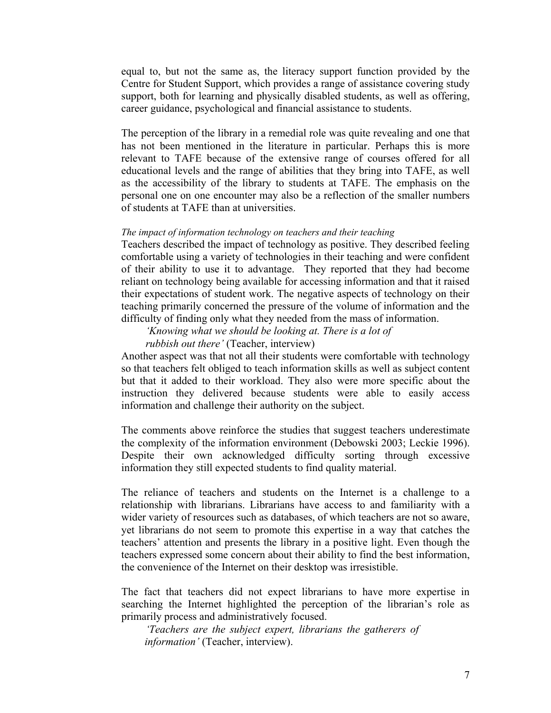equal to, but not the same as, the literacy support function provided by the Centre for Student Support, which provides a range of assistance covering study support, both for learning and physically disabled students, as well as offering, career guidance, psychological and financial assistance to students.

The perception of the library in a remedial role was quite revealing and one that has not been mentioned in the literature in particular. Perhaps this is more relevant to TAFE because of the extensive range of courses offered for all educational levels and the range of abilities that they bring into TAFE, as well as the accessibility of the library to students at TAFE. The emphasis on the personal one on one encounter may also be a reflection of the smaller numbers of students at TAFE than at universities.

### *The impact of information technology on teachers and their teaching*

Teachers described the impact of technology as positive. They described feeling comfortable using a variety of technologies in their teaching and were confident of their ability to use it to advantage. They reported that they had become reliant on technology being available for accessing information and that it raised their expectations of student work. The negative aspects of technology on their teaching primarily concerned the pressure of the volume of information and the difficulty of finding only what they needed from the mass of information.

 *'Knowing what we should be looking at. There is a lot of rubbish out there'* (Teacher, interview)

Another aspect was that not all their students were comfortable with technology so that teachers felt obliged to teach information skills as well as subject content but that it added to their workload. They also were more specific about the instruction they delivered because students were able to easily access information and challenge their authority on the subject.

The comments above reinforce the studies that suggest teachers underestimate the complexity of the information environment (Debowski 2003; Leckie 1996). Despite their own acknowledged difficulty sorting through excessive information they still expected students to find quality material.

The reliance of teachers and students on the Internet is a challenge to a relationship with librarians. Librarians have access to and familiarity with a wider variety of resources such as databases, of which teachers are not so aware, yet librarians do not seem to promote this expertise in a way that catches the teachers' attention and presents the library in a positive light. Even though the teachers expressed some concern about their ability to find the best information, the convenience of the Internet on their desktop was irresistible.

The fact that teachers did not expect librarians to have more expertise in searching the Internet highlighted the perception of the librarian's role as primarily process and administratively focused.

*'Teachers are the subject expert, librarians the gatherers of information'* (Teacher, interview).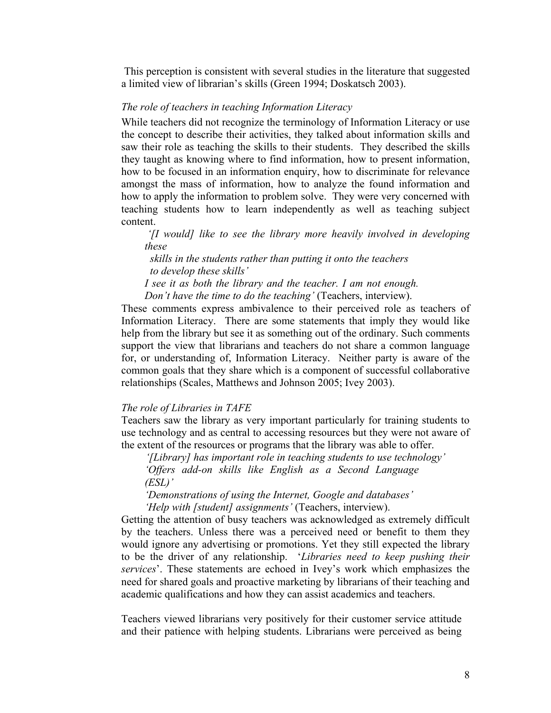This perception is consistent with several studies in the literature that suggested a limited view of librarian's skills (Green 1994; Doskatsch 2003).

### *The role of teachers in teaching Information Literacy*

While teachers did not recognize the terminology of Information Literacy or use the concept to describe their activities, they talked about information skills and saw their role as teaching the skills to their students. They described the skills they taught as knowing where to find information, how to present information, how to be focused in an information enquiry, how to discriminate for relevance amongst the mass of information, how to analyze the found information and how to apply the information to problem solve. They were very concerned with teaching students how to learn independently as well as teaching subject content.

*'[I would] like to see the library more heavily involved in developing these* 

 *skills in the students rather than putting it onto the teachers to develop these skills'* 

*I see it as both the library and the teacher. I am not enough.* 

*Don't have the time to do the teaching'* (Teachers, interview).

These comments express ambivalence to their perceived role as teachers of Information Literacy. There are some statements that imply they would like help from the library but see it as something out of the ordinary. Such comments support the view that librarians and teachers do not share a common language for, or understanding of, Information Literacy. Neither party is aware of the common goals that they share which is a component of successful collaborative relationships (Scales, Matthews and Johnson 2005; Ivey 2003).

### *The role of Libraries in TAFE*

Teachers saw the library as very important particularly for training students to use technology and as central to accessing resources but they were not aware of the extent of the resources or programs that the library was able to offer.

 *'[Library] has important role in teaching students to use technology' 'Offers add-on skills like English as a Second Language (ESL)'* 

*'Demonstrations of using the Internet, Google and databases' 'Help with [student] assignments'* (Teachers, interview).

Getting the attention of busy teachers was acknowledged as extremely difficult by the teachers. Unless there was a perceived need or benefit to them they would ignore any advertising or promotions. Yet they still expected the library to be the driver of any relationship. '*Libraries need to keep pushing their services*'. These statements are echoed in Ivey's work which emphasizes the need for shared goals and proactive marketing by librarians of their teaching and academic qualifications and how they can assist academics and teachers.

Teachers viewed librarians very positively for their customer service attitude and their patience with helping students. Librarians were perceived as being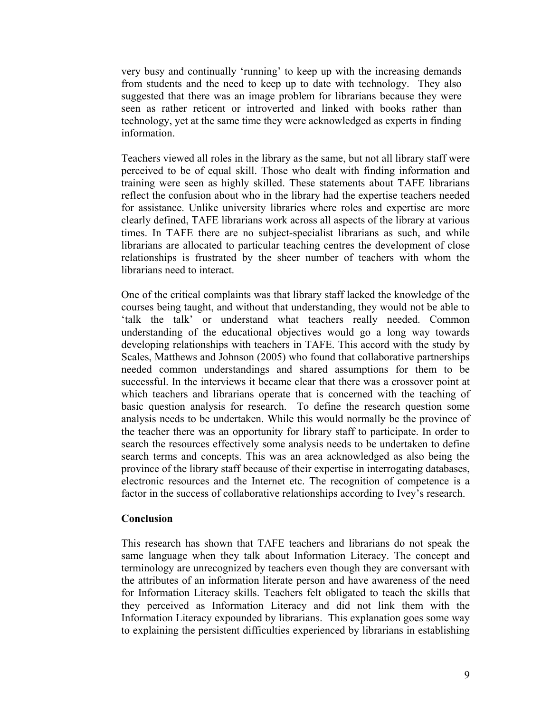very busy and continually 'running' to keep up with the increasing demands from students and the need to keep up to date with technology. They also suggested that there was an image problem for librarians because they were seen as rather reticent or introverted and linked with books rather than technology, yet at the same time they were acknowledged as experts in finding information.

Teachers viewed all roles in the library as the same, but not all library staff were perceived to be of equal skill. Those who dealt with finding information and training were seen as highly skilled. These statements about TAFE librarians reflect the confusion about who in the library had the expertise teachers needed for assistance. Unlike university libraries where roles and expertise are more clearly defined, TAFE librarians work across all aspects of the library at various times. In TAFE there are no subject-specialist librarians as such, and while librarians are allocated to particular teaching centres the development of close relationships is frustrated by the sheer number of teachers with whom the librarians need to interact.

One of the critical complaints was that library staff lacked the knowledge of the courses being taught, and without that understanding, they would not be able to 'talk the talk' or understand what teachers really needed. Common understanding of the educational objectives would go a long way towards developing relationships with teachers in TAFE. This accord with the study by Scales, Matthews and Johnson (2005) who found that collaborative partnerships needed common understandings and shared assumptions for them to be successful. In the interviews it became clear that there was a crossover point at which teachers and librarians operate that is concerned with the teaching of basic question analysis for research. To define the research question some analysis needs to be undertaken. While this would normally be the province of the teacher there was an opportunity for library staff to participate. In order to search the resources effectively some analysis needs to be undertaken to define search terms and concepts. This was an area acknowledged as also being the province of the library staff because of their expertise in interrogating databases, electronic resources and the Internet etc. The recognition of competence is a factor in the success of collaborative relationships according to Ivey's research.

## **Conclusion**

This research has shown that TAFE teachers and librarians do not speak the same language when they talk about Information Literacy. The concept and terminology are unrecognized by teachers even though they are conversant with the attributes of an information literate person and have awareness of the need for Information Literacy skills. Teachers felt obligated to teach the skills that they perceived as Information Literacy and did not link them with the Information Literacy expounded by librarians. This explanation goes some way to explaining the persistent difficulties experienced by librarians in establishing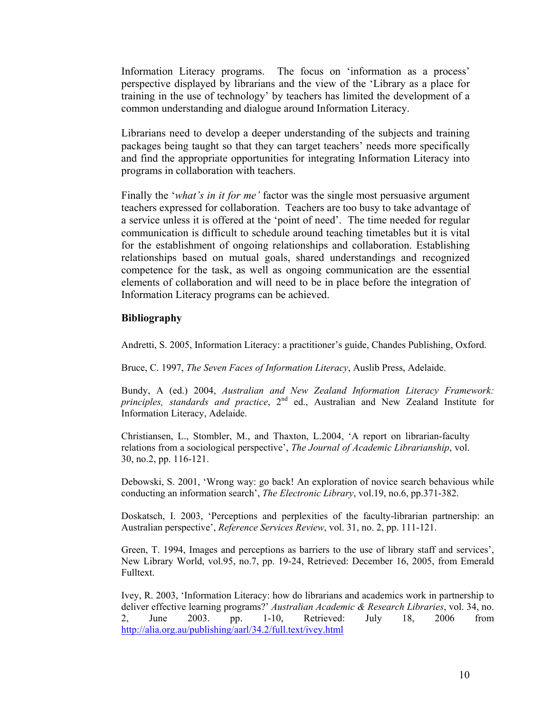Information Literacy programs. The focus on 'information as a process' perspective displayed by librarians and the view of the 'Library as a place for training in the use of technology' by teachers has limited the development of a common understanding and dialogue around Information Literacy.

Librarians need to develop a deeper understanding of the subjects and training packages being taught so that they can target teachers' needs more specifically and find the appropriate opportunities for integrating Information Literacy into programs in collaboration with teachers.

Finally the '*what's in it for me'* factor was the single most persuasive argument teachers expressed for collaboration. Teachers are too busy to take advantage of a service unless it is offered at the 'point of need'. The time needed for regular communication is difficult to schedule around teaching timetables but it is vital for the establishment of ongoing relationships and collaboration. Establishing relationships based on mutual goals, shared understandings and recognized competence for the task, as well as ongoing communication are the essential elements of collaboration and will need to be in place before the integration of Information Literacy programs can be achieved.

## **Bibliography**

Andretti, S. 2005, Information Literacy: a practitioner's guide, Chandes Publishing, Oxford.

Bruce, C. 1997, *The Seven Faces of Information Literacy*, Auslib Press, Adelaide.

Bundy, A (ed.) 2004, *Australian and New Zealand Information Literacy Framework: principles, standards and practice*, 2<sup>nd</sup> ed., Australian and New Zealand Institute for Information Literacy, Adelaide.

Christiansen, L., Stombler, M., and Thaxton, L.2004, 'A report on librarian-faculty relations from a sociological perspective', *The Journal of Academic Librarianship*, vol. 30, no.2, pp. 116-121.

Debowski, S. 2001, 'Wrong way: go back! An exploration of novice search behavious while conducting an information search', *The Electronic Library*, vol.19, no.6, pp.371-382.

Doskatsch, I. 2003, 'Perceptions and perplexities of the faculty-librarian partnership: an Australian perspective', *Reference Services Review*, vol. 31, no. 2, pp. 111-121.

Green, T. 1994, Images and perceptions as barriers to the use of library staff and services', New Library World, vol.95, no.7, pp. 19-24, Retrieved: December 16, 2005, from Emerald Fulltext.

Ivey, R. 2003, 'Information Literacy: how do librarians and academics work in partnership to deliver effective learning programs?' *Australian Academic & Research Libraries*, vol. 34, no. 2, June 2003. pp. 1-10, Retrieved: July 18, 2006 from http://alia.org.au/publishing/aarl/34.2/full.text/ivey.html